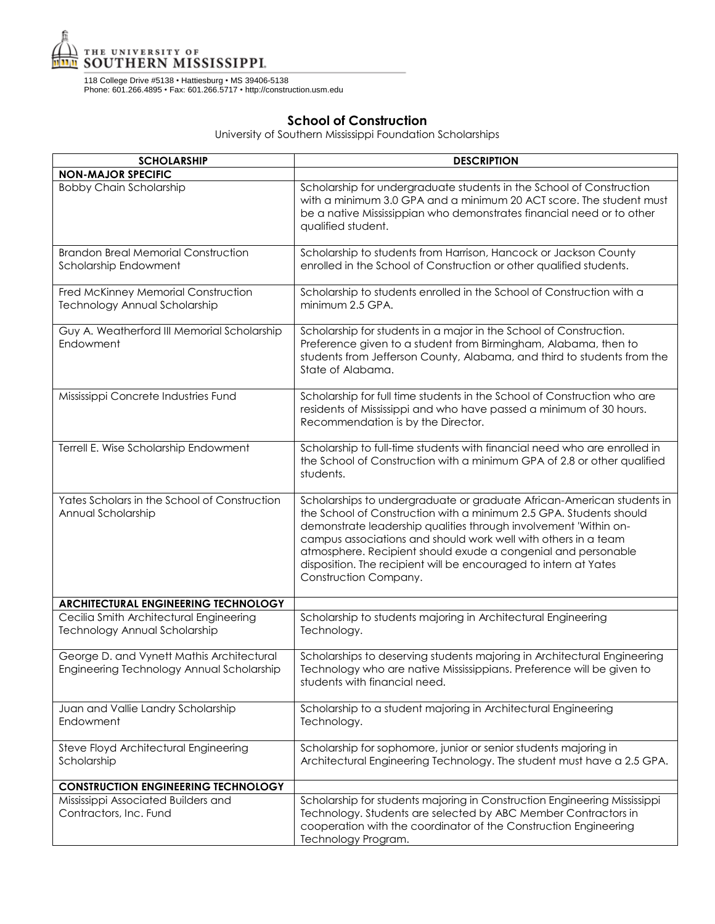

118 College Drive #5138 • Hattiesburg • MS 39406-5138 Phone: 601.266.4895 • Fax: 601.266.5717 • http://construction.usm.edu

## **School of Construction**

University of Southern Mississippi Foundation Scholarships

| <b>SCHOLARSHIP</b>                                                                     | <b>DESCRIPTION</b>                                                                                                                                                                                                                                                                                                                                                                                                                               |
|----------------------------------------------------------------------------------------|--------------------------------------------------------------------------------------------------------------------------------------------------------------------------------------------------------------------------------------------------------------------------------------------------------------------------------------------------------------------------------------------------------------------------------------------------|
| <b>NON-MAJOR SPECIFIC</b>                                                              |                                                                                                                                                                                                                                                                                                                                                                                                                                                  |
| <b>Bobby Chain Scholarship</b>                                                         | Scholarship for undergraduate students in the School of Construction<br>with a minimum 3.0 GPA and a minimum 20 ACT score. The student must<br>be a native Mississippian who demonstrates financial need or to other<br>qualified student.                                                                                                                                                                                                       |
| <b>Brandon Breal Memorial Construction</b><br>Scholarship Endowment                    | Scholarship to students from Harrison, Hancock or Jackson County<br>enrolled in the School of Construction or other qualified students.                                                                                                                                                                                                                                                                                                          |
| Fred McKinney Memorial Construction<br>Technology Annual Scholarship                   | Scholarship to students enrolled in the School of Construction with a<br>minimum 2.5 GPA.                                                                                                                                                                                                                                                                                                                                                        |
| Guy A. Weatherford III Memorial Scholarship<br>Endowment                               | Scholarship for students in a major in the School of Construction.<br>Preference given to a student from Birmingham, Alabama, then to<br>students from Jefferson County, Alabama, and third to students from the<br>State of Alabama.                                                                                                                                                                                                            |
| Mississippi Concrete Industries Fund                                                   | Scholarship for full time students in the School of Construction who are<br>residents of Mississippi and who have passed a minimum of 30 hours.<br>Recommendation is by the Director.                                                                                                                                                                                                                                                            |
| Terrell E. Wise Scholarship Endowment                                                  | Scholarship to full-time students with financial need who are enrolled in<br>the School of Construction with a minimum GPA of 2.8 or other qualified<br>students.                                                                                                                                                                                                                                                                                |
| Yates Scholars in the School of Construction<br>Annual Scholarship                     | Scholarships to undergraduate or graduate African-American students in<br>the School of Construction with a minimum 2.5 GPA. Students should<br>demonstrate leadership qualities through involvement 'Within on-<br>campus associations and should work well with others in a team<br>atmosphere. Recipient should exude a congenial and personable<br>disposition. The recipient will be encouraged to intern at Yates<br>Construction Company. |
| ARCHITECTURAL ENGINEERING TECHNOLOGY                                                   |                                                                                                                                                                                                                                                                                                                                                                                                                                                  |
| Cecilia Smith Architectural Engineering<br>Technology Annual Scholarship               | Scholarship to students majoring in Architectural Engineering<br>Technology.                                                                                                                                                                                                                                                                                                                                                                     |
| George D. and Vynett Mathis Architectural<br>Engineering Technology Annual Scholarship | Scholarships to deserving students majoring in Architectural Engineering<br>Technology who are native Mississippians. Preference will be given to<br>students with financial need.                                                                                                                                                                                                                                                               |
| Juan and Vallie Landry Scholarship<br>Endowment                                        | Scholarship to a student majoring in Architectural Engineering<br>Technology.                                                                                                                                                                                                                                                                                                                                                                    |
| Steve Floyd Architectural Engineering<br>Scholarship                                   | Scholarship for sophomore, junior or senior students majoring in<br>Architectural Engineering Technology. The student must have a 2.5 GPA.                                                                                                                                                                                                                                                                                                       |
| <b>CONSTRUCTION ENGINEERING TECHNOLOGY</b>                                             |                                                                                                                                                                                                                                                                                                                                                                                                                                                  |
| Mississippi Associated Builders and<br>Contractors, Inc. Fund                          | Scholarship for students majoring in Construction Engineering Mississippi<br>Technology. Students are selected by ABC Member Contractors in<br>cooperation with the coordinator of the Construction Engineering<br>Technology Program.                                                                                                                                                                                                           |